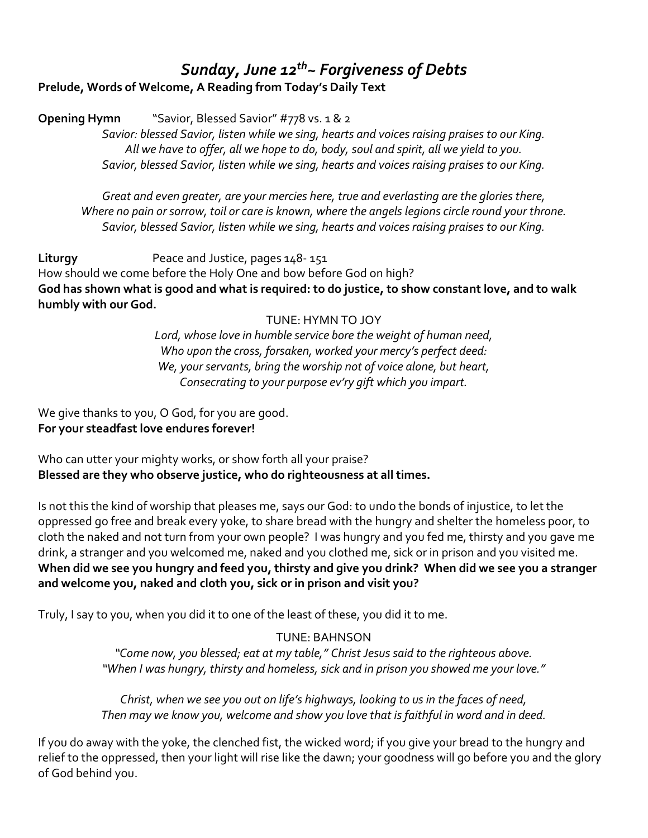# *Sunday, June 12th~ Forgiveness of Debts*

**Prelude, Words of Welcome, A Reading from Today's Daily Text** 

**Opening Hymn** "Savior, Blessed Savior" #778 vs. 1 & 2

*Savior: blessed Savior, listen while we sing, hearts and voices raising praises to our King. All we have to offer, all we hope to do, body, soul and spirit, all we yield to you. Savior, blessed Savior, listen while we sing, hearts and voices raising praises to our King.* 

*Great and even greater, are your mercies here, true and everlasting are the glories there, Where no pain or sorrow, toil or care is known, where the angels legions circle round your throne. Savior, blessed Savior, listen while we sing, hearts and voices raising praises to our King.* 

Liturgy **Peace and Justice, pages 148-151** How should we come before the Holy One and bow before God on high? **God has shown what is good and what is required: to do justice, to show constant love, and to walk humbly with our God.** 

## TUNE: HYMN TO JOY

*Lord, whose love in humble service bore the weight of human need, Who upon the cross, forsaken, worked your mercy's perfect deed: We, your servants, bring the worship not of voice alone, but heart, Consecrating to your purpose ev'ry gift which you impart.* 

We give thanks to you, O God, for you are good. **For your steadfast love endures forever!**

Who can utter your mighty works, or show forth all your praise? **Blessed are they who observe justice, who do righteousness at all times.** 

Is not this the kind of worship that pleases me, says our God: to undo the bonds of injustice, to let the oppressed go free and break every yoke, to share bread with the hungry and shelter the homeless poor, to cloth the naked and not turn from your own people? I was hungry and you fed me, thirsty and you gave me drink, a stranger and you welcomed me, naked and you clothed me, sick or in prison and you visited me. **When did we see you hungry and feed you, thirsty and give you drink? When did we see you a stranger and welcome you, naked and cloth you, sick or in prison and visit you?** 

Truly, I say to you, when you did it to one of the least of these, you did it to me.

## TUNE: BAHNSON

*"Come now, you blessed; eat at my table," Christ Jesus said to the righteous above. "When I was hungry, thirsty and homeless, sick and in prison you showed me your love."* 

*Christ, when we see you out on life's highways, looking to us in the faces of need, Then may we know you, welcome and show you love that is faithful in word and in deed.* 

If you do away with the yoke, the clenched fist, the wicked word; if you give your bread to the hungry and relief to the oppressed, then your light will rise like the dawn; your goodness will go before you and the glory of God behind you.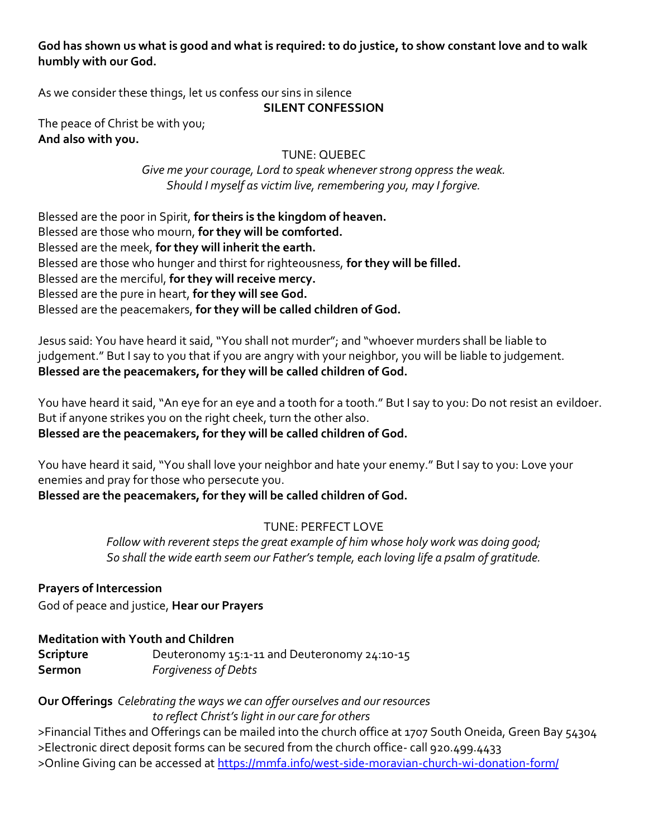**God has shown us what is good and what is required: to do justice, to show constant love and to walk humbly with our God.** 

As we consider these things, let us confess our sins in silence

## **SILENT CONFESSION**

The peace of Christ be with you; **And also with you.** 

TUNE: QUEBEC

*Give me your courage, Lord to speak whenever strong oppress the weak. Should I myself as victim live, remembering you, may I forgive.* 

Blessed are the poor in Spirit, **for theirs is the kingdom of heaven.**  Blessed are those who mourn, **for they will be comforted.**  Blessed are the meek, **for they will inherit the earth.**  Blessed are those who hunger and thirst for righteousness, **for they will be filled.**  Blessed are the merciful, **for they will receive mercy.**  Blessed are the pure in heart, **for they will see God.**  Blessed are the peacemakers, **for they will be called children of God.** 

Jesus said: You have heard it said, "You shall not murder"; and "whoever murders shall be liable to judgement." But I say to you that if you are angry with your neighbor, you will be liable to judgement. **Blessed are the peacemakers, for they will be called children of God.** 

You have heard it said, "An eye for an eye and a tooth for a tooth." But I say to you: Do not resist an evildoer. But if anyone strikes you on the right cheek, turn the other also. **Blessed are the peacemakers, for they will be called children of God.** 

You have heard it said, "You shall love your neighbor and hate your enemy." But I say to you: Love your enemies and pray for those who persecute you.

**Blessed are the peacemakers, for they will be called children of God.** 

# TUNE: PERFECT LOVE

*Follow with reverent steps the great example of him whose holy work was doing good; So shall the wide earth seem our Father's temple, each loving life a psalm of gratitude.* 

**Prayers of Intercession**  God of peace and justice, **Hear our Prayers** 

# **Meditation with Youth and Children**

| Scripture | Deuteronomy 15:1-11 and Deuteronomy 24:10-15 |
|-----------|----------------------------------------------|
| Sermon    | <b>Forgiveness of Debts</b>                  |

# **Our Offerings** *Celebrating the ways we can offer ourselves and our resources*

*to reflect Christ's light in our care for others* 

>Financial Tithes and Offerings can be mailed into the church office at 1707 South Oneida, Green Bay 54304 >Electronic direct deposit forms can be secured from the church office- call 920.499.4433 >Online Giving can be accessed a[t https://mmfa.info/west-side-moravian-church-wi-donation-form/](https://mmfa.info/west-side-moravian-church-wi-donation-form/)